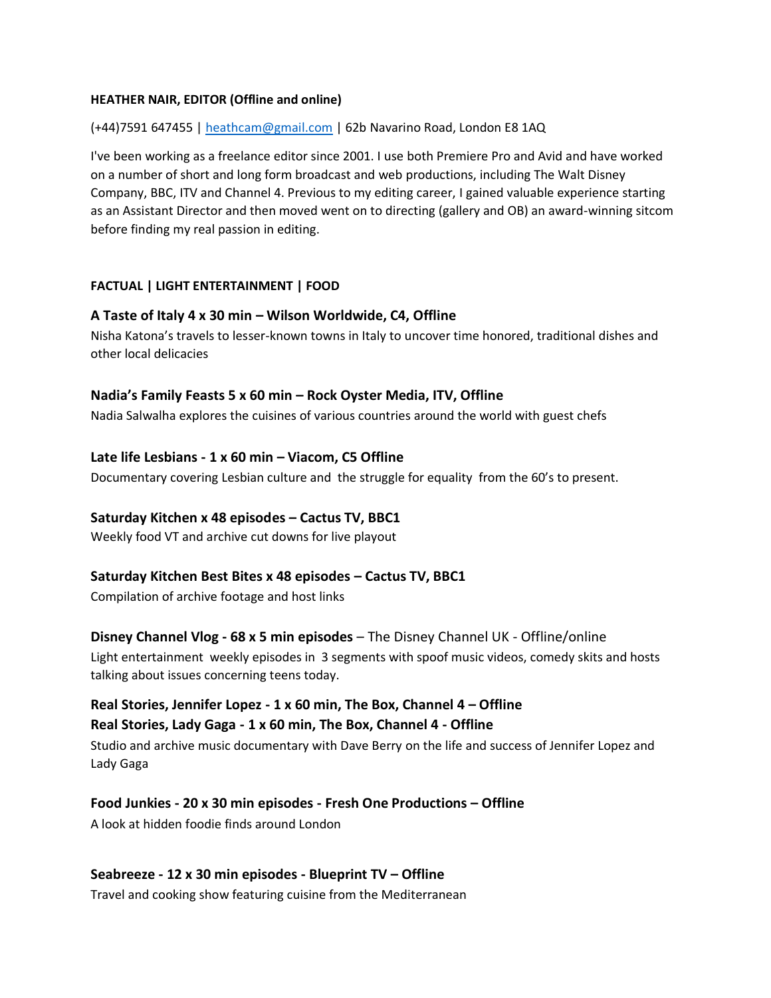#### **HEATHER NAIR, EDITOR (Offline and online)**

#### (+44)7591 647455 | [heathcam@gmail.com](mailto:heathcam@gmail.com) | 62b Navarino Road, London E8 1AQ

I've been working as a freelance editor since 2001. I use both Premiere Pro and Avid and have worked on a number of short and long form broadcast and web productions, including The Walt Disney Company, BBC, ITV and Channel 4. Previous to my editing career, I gained valuable experience starting as an Assistant Director and then moved went on to directing (gallery and OB) an award-winning sitcom before finding my real passion in editing.

### **FACTUAL | LIGHT ENTERTAINMENT | FOOD**

#### **A Taste of Italy 4 x 30 min – Wilson Worldwide, C4, Offline**

Nisha Katona's travels to lesser-known towns in Italy to uncover time honored, traditional dishes and other local delicacies

#### **Nadia's Family Feasts 5 x 60 min – Rock Oyster Media, ITV, Offline**

Nadia Salwalha explores the cuisines of various countries around the world with guest chefs

#### **Late life Lesbians - 1 x 60 min – Viacom, C5 Offline**

Documentary covering Lesbian culture and the struggle for equality from the 60's to present.

#### **Saturday Kitchen x 48 episodes – Cactus TV, BBC1**

Weekly food VT and archive cut downs for live playout

#### **Saturday Kitchen Best Bites x 48 episodes – Cactus TV, BBC1**

Compilation of archive footage and host links

#### **Disney Channel Vlog - 68 x 5 min episodes** – The Disney Channel UK - Offline/online

Light entertainment weekly episodes in 3 segments with spoof music videos, comedy skits and hosts talking about issues concerning teens today.

# **Real Stories, Jennifer Lopez - 1 x 60 min, The Box, Channel 4 – Offline**

**Real Stories, Lady Gaga - 1 x 60 min, The Box, Channel 4 - Offline**

Studio and archive music documentary with Dave Berry on the life and success of Jennifer Lopez and Lady Gaga

# **Food Junkies - 20 x 30 min episodes - Fresh One Productions – Offline**

A look at hidden foodie finds around London

#### **Seabreeze - 12 x 30 min episodes - Blueprint TV – Offline**

Travel and cooking show featuring cuisine from the Mediterranean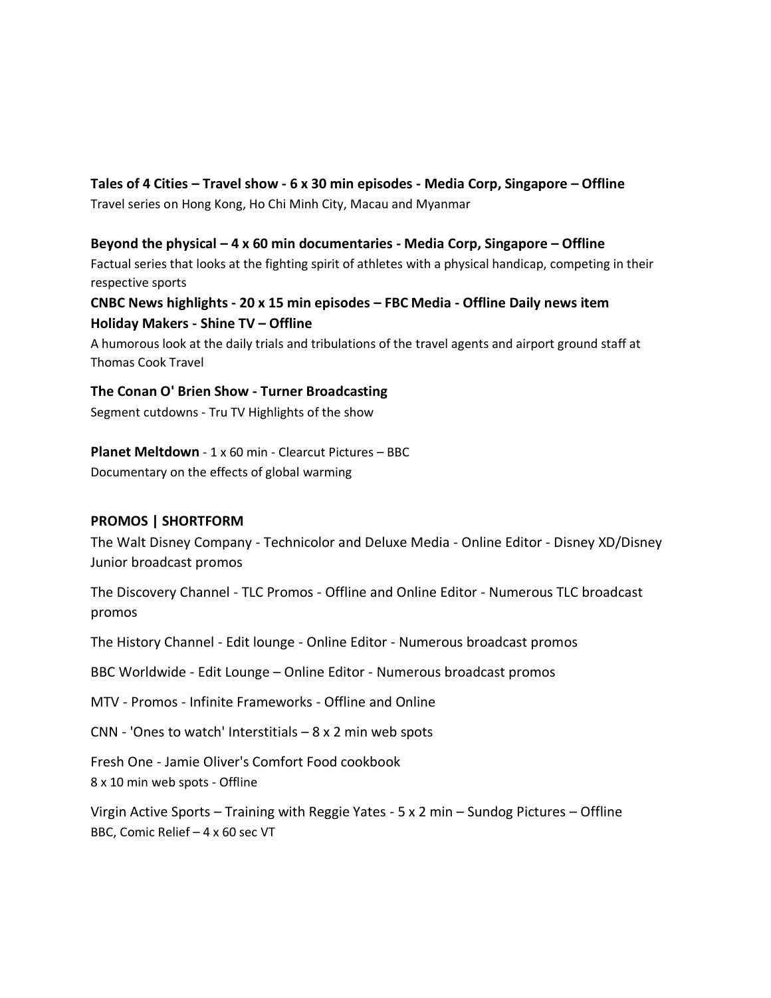# **Tales of 4 Cities – Travel show - 6 x 30 min episodes - Media Corp, Singapore – Offline**

Travel series on Hong Kong, Ho Chi Minh City, Macau and Myanmar

**Beyond the physical – 4 x 60 min documentaries - Media Corp, Singapore – Offline** Factual series that looks at the fighting spirit of athletes with a physical handicap, competing in their respective sports

# **CNBC News highlights - 20 x 15 min episodes – FBC Media - Offline Daily news item Holiday Makers - Shine TV – Offline**

A humorous look at the daily trials and tribulations of the travel agents and airport ground staff at Thomas Cook Travel

### **The Conan O' Brien Show - Turner Broadcasting**

Segment cutdowns - Tru TV Highlights of the show

# **Planet Meltdown** - 1 x 60 min - Clearcut Pictures – BBC

Documentary on the effects of global warming

# **PROMOS | SHORTFORM**

The Walt Disney Company - Technicolor and Deluxe Media - Online Editor - Disney XD/Disney Junior broadcast promos

The Discovery Channel - TLC Promos - Offline and Online Editor - Numerous TLC broadcast promos

The History Channel - Edit lounge - Online Editor - Numerous broadcast promos

BBC Worldwide - Edit Lounge – Online Editor - Numerous broadcast promos

MTV - Promos - Infinite Frameworks - Offline and Online

CNN - 'Ones to watch' Interstitials  $-8 \times 2$  min web spots

Fresh One - Jamie Oliver's Comfort Food cookbook 8 x 10 min web spots - Offline

Virgin Active Sports – Training with Reggie Yates - 5 x 2 min – Sundog Pictures – Offline BBC, Comic Relief – 4 x 60 sec VT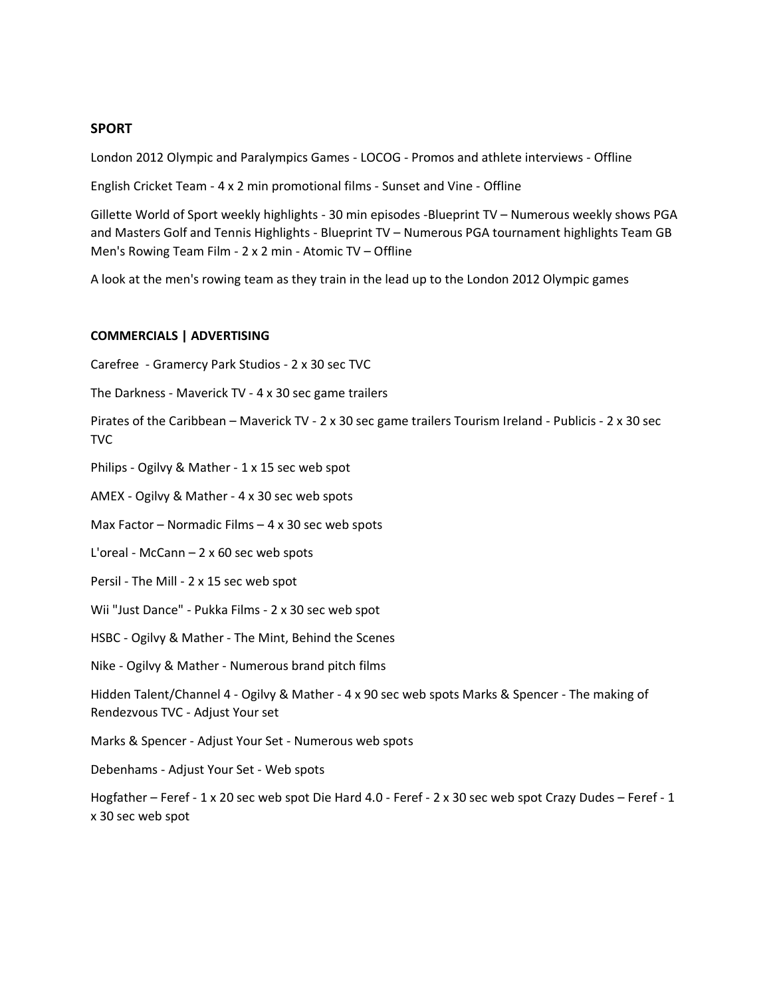#### **SPORT**

London 2012 Olympic and Paralympics Games - LOCOG - Promos and athlete interviews - Offline

English Cricket Team - 4 x 2 min promotional films - Sunset and Vine - Offline

Gillette World of Sport weekly highlights - 30 min episodes -Blueprint TV – Numerous weekly shows PGA and Masters Golf and Tennis Highlights - Blueprint TV – Numerous PGA tournament highlights Team GB Men's Rowing Team Film - 2 x 2 min - Atomic TV – Offline

A look at the men's rowing team as they train in the lead up to the London 2012 Olympic games

#### **COMMERCIALS | ADVERTISING**

Carefree - Gramercy Park Studios - 2 x 30 sec TVC

The Darkness - Maverick TV - 4 x 30 sec game trailers

Pirates of the Caribbean – Maverick TV - 2 x 30 sec game trailers Tourism Ireland - Publicis - 2 x 30 sec TVC

Philips - Ogilvy & Mather - 1 x 15 sec web spot

AMEX - Ogilvy & Mather - 4 x 30 sec web spots

Max Factor – Normadic Films – 4 x 30 sec web spots

L'oreal - McCann – 2 x 60 sec web spots

Persil - The Mill - 2 x 15 sec web spot

Wii "Just Dance" - Pukka Films - 2 x 30 sec web spot

HSBC - Ogilvy & Mather - The Mint, Behind the Scenes

Nike - Ogilvy & Mather - Numerous brand pitch films

Hidden Talent/Channel 4 - Ogilvy & Mather - 4 x 90 sec web spots Marks & Spencer - The making of Rendezvous TVC - Adjust Your set

Marks & Spencer - Adjust Your Set - Numerous web spots

Debenhams - Adjust Your Set - Web spots

Hogfather – Feref - 1 x 20 sec web spot Die Hard 4.0 - Feref - 2 x 30 sec web spot Crazy Dudes – Feref - 1 x 30 sec web spot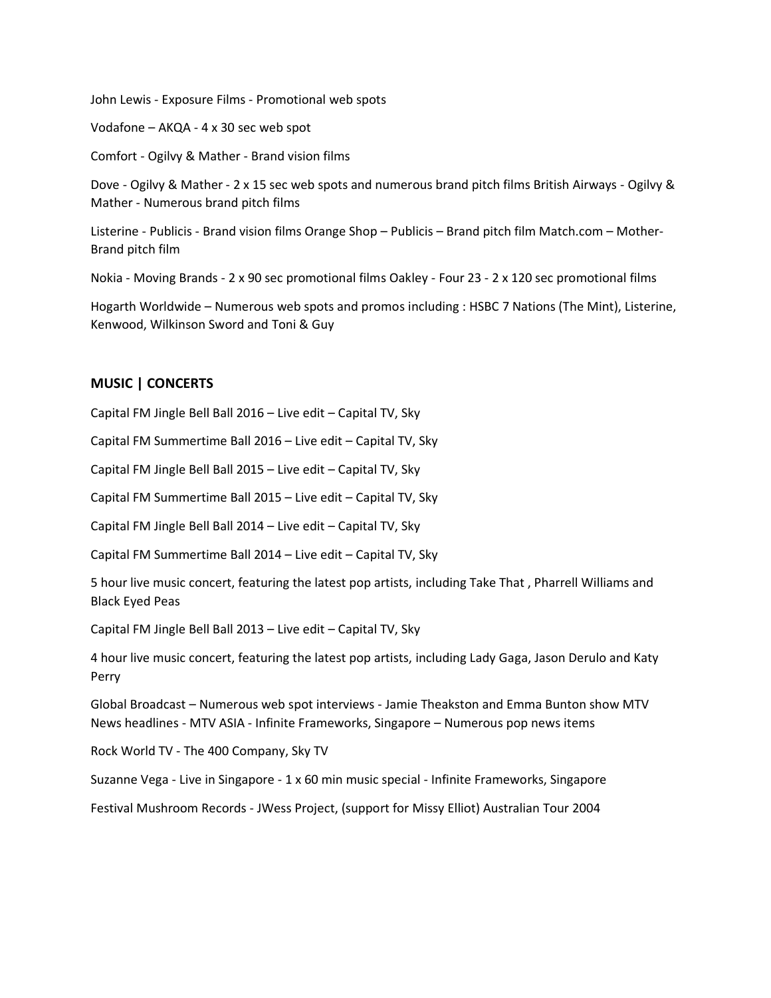John Lewis - Exposure Films - Promotional web spots

Vodafone – AKQA - 4 x 30 sec web spot

Comfort - Ogilvy & Mather - Brand vision films

Dove - Ogilvy & Mather - 2 x 15 sec web spots and numerous brand pitch films British Airways - Ogilvy & Mather - Numerous brand pitch films

Listerine - Publicis - Brand vision films Orange Shop – Publicis – Brand pitch film Match.com – Mother-Brand pitch film

Nokia - Moving Brands - 2 x 90 sec promotional films Oakley - Four 23 - 2 x 120 sec promotional films

Hogarth Worldwide – Numerous web spots and promos including : HSBC 7 Nations (The Mint), Listerine, Kenwood, Wilkinson Sword and Toni & Guy

#### **MUSIC | CONCERTS**

Capital FM Jingle Bell Ball 2016 – Live edit – Capital TV, Sky

Capital FM Summertime Ball 2016 – Live edit – Capital TV, Sky

Capital FM Jingle Bell Ball 2015 – Live edit – Capital TV, Sky

Capital FM Summertime Ball 2015 – Live edit – Capital TV, Sky

Capital FM Jingle Bell Ball 2014 – Live edit – Capital TV, Sky

Capital FM Summertime Ball 2014 – Live edit – Capital TV, Sky

5 hour live music concert, featuring the latest pop artists, including Take That , Pharrell Williams and Black Eyed Peas

Capital FM Jingle Bell Ball 2013 – Live edit – Capital TV, Sky

4 hour live music concert, featuring the latest pop artists, including Lady Gaga, Jason Derulo and Katy Perry

Global Broadcast – Numerous web spot interviews - Jamie Theakston and Emma Bunton show MTV News headlines - MTV ASIA - Infinite Frameworks, Singapore – Numerous pop news items

Rock World TV - The 400 Company, Sky TV

Suzanne Vega - Live in Singapore - 1 x 60 min music special - Infinite Frameworks, Singapore

Festival Mushroom Records - JWess Project, (support for Missy Elliot) Australian Tour 2004